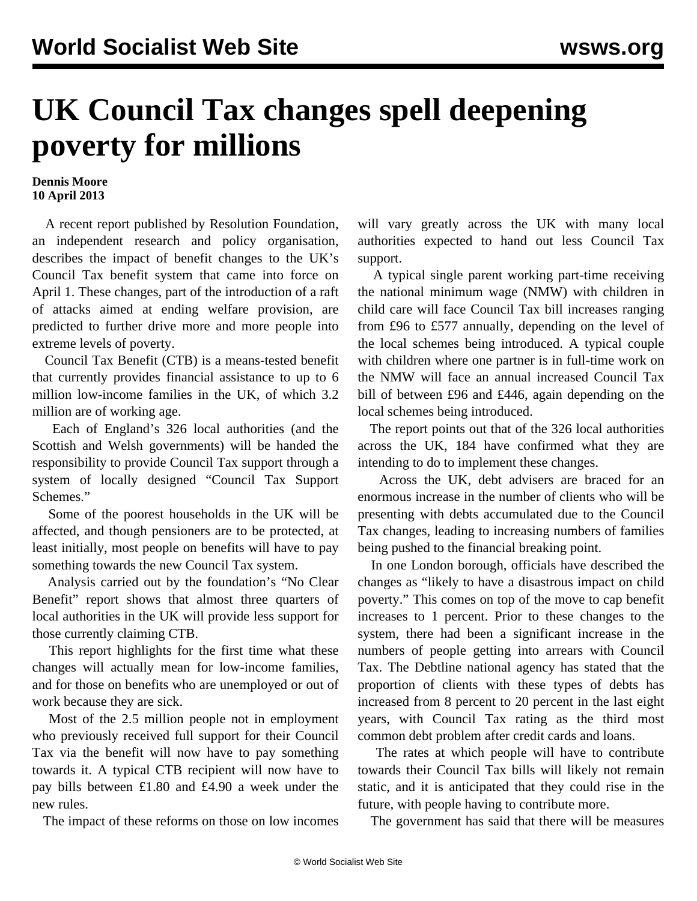## **UK Council Tax changes spell deepening poverty for millions**

## **Dennis Moore 10 April 2013**

 A recent report published by Resolution Foundation, an independent research and policy organisation, describes the impact of benefit changes to the UK's Council Tax benefit system that came into force on April 1. These changes, part of the introduction of a raft of attacks aimed at ending welfare provision, are predicted to further drive more and more people into extreme levels of poverty.

 Council Tax Benefit (CTB) is a means-tested benefit that currently provides financial assistance to up to 6 million low-income families in the UK, of which 3.2 million are of working age.

 Each of England's 326 local authorities (and the Scottish and Welsh governments) will be handed the responsibility to provide Council Tax support through a system of locally designed "Council Tax Support Schemes."

 Some of the poorest households in the UK will be affected, and though pensioners are to be protected, at least initially, most people on benefits will have to pay something towards the new Council Tax system.

 Analysis carried out by the foundation's "No Clear Benefit" report shows that almost three quarters of local authorities in the UK will provide less support for those currently claiming CTB.

 This report highlights for the first time what these changes will actually mean for low-income families, and for those on benefits who are unemployed or out of work because they are sick.

 Most of the 2.5 million people not in employment who previously received full support for their Council Tax via the benefit will now have to pay something towards it. A typical CTB recipient will now have to pay bills between £1.80 and £4.90 a week under the new rules.

The impact of these reforms on those on low incomes

will vary greatly across the UK with many local authorities expected to hand out less Council Tax support.

 A typical single parent working part-time receiving the national minimum wage (NMW) with children in child care will face Council Tax bill increases ranging from £96 to £577 annually, depending on the level of the local schemes being introduced. A typical couple with children where one partner is in full-time work on the NMW will face an annual increased Council Tax bill of between £96 and £446, again depending on the local schemes being introduced.

 The report points out that of the 326 local authorities across the UK, 184 have confirmed what they are intending to do to implement these changes.

 Across the UK, debt advisers are braced for an enormous increase in the number of clients who will be presenting with debts accumulated due to the Council Tax changes, leading to increasing numbers of families being pushed to the financial breaking point.

 In one London borough, officials have described the changes as "likely to have a disastrous impact on child poverty." This comes on top of the move to cap benefit increases to 1 percent. Prior to these changes to the system, there had been a significant increase in the numbers of people getting into arrears with Council Tax. The Debtline national agency has stated that the proportion of clients with these types of debts has increased from 8 percent to 20 percent in the last eight years, with Council Tax rating as the third most common debt problem after credit cards and loans.

 The rates at which people will have to contribute towards their Council Tax bills will likely not remain static, and it is anticipated that they could rise in the future, with people having to contribute more.

The government has said that there will be measures